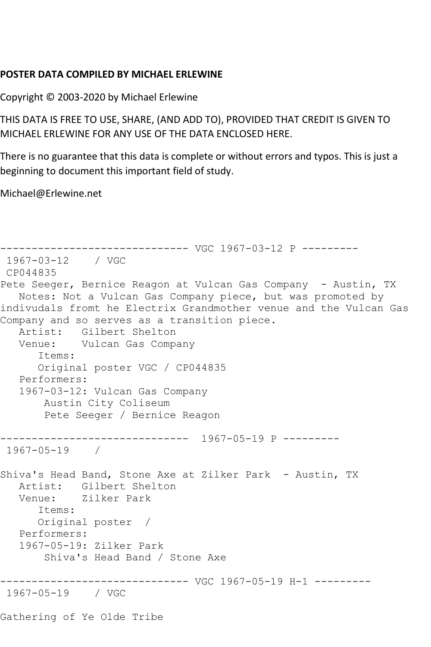## **POSTER DATA COMPILED BY MICHAEL ERLEWINE**

Copyright © 2003-2020 by Michael Erlewine

THIS DATA IS FREE TO USE, SHARE, (AND ADD TO), PROVIDED THAT CREDIT IS GIVEN TO MICHAEL ERLEWINE FOR ANY USE OF THE DATA ENCLOSED HERE.

There is no guarantee that this data is complete or without errors and typos. This is just a beginning to document this important field of study.

Michael@Erlewine.net

------------------------------ VGC 1967-03-12 P --------- 1967-03-12 / VGC CP044835 Pete Seeger, Bernice Reagon at Vulcan Gas Company - Austin, TX Notes: Not a Vulcan Gas Company piece, but was promoted by indivudals fromt he Electrix Grandmother venue and the Vulcan Gas Company and so serves as a transition piece. Artist: Gilbert Shelton Venue: Vulcan Gas Company Items: Original poster VGC / CP044835 Performers: 1967-03-12: Vulcan Gas Company Austin City Coliseum Pete Seeger / Bernice Reagon ------------------------------ 1967-05-19 P --------- 1967-05-19 / Shiva's Head Band, Stone Axe at Zilker Park - Austin, TX Artist: Gilbert Shelton<br>Venue: Zilker Park Zilker Park Items: Original poster / Performers: 1967-05-19: Zilker Park Shiva's Head Band / Stone Axe ------------------------------ VGC 1967-05-19 H-1 --------- 1967-05-19 / VGC Gathering of Ye Olde Tribe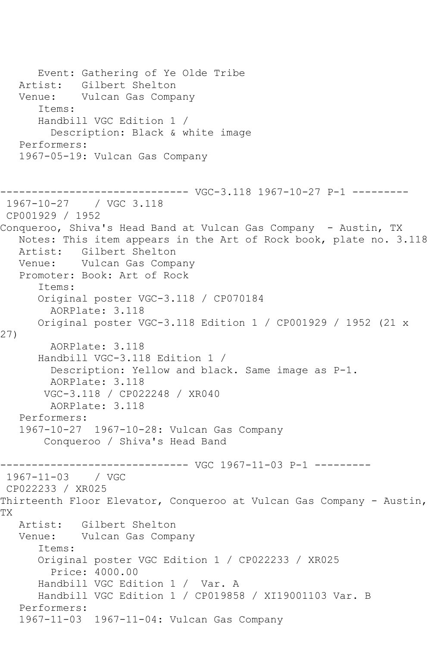```
 Event: Gathering of Ye Olde Tribe
   Artist: Gilbert Shelton
   Venue: Vulcan Gas Company
       Items:
       Handbill VGC Edition 1 / 
         Description: Black & white image
   Performers:
    1967-05-19: Vulcan Gas Company
------------------------------ VGC-3.118 1967-10-27 P-1 ---------
1967-10-27 / VGC 3.118
CP001929 / 1952
Conqueroo, Shiva's Head Band at Vulcan Gas Company - Austin, TX
   Notes: This item appears in the Art of Rock book, plate no. 3.118
   Artist: Gilbert Shelton
   Venue: Vulcan Gas Company
   Promoter: Book: Art of Rock
       Items:
       Original poster VGC-3.118 / CP070184
         AORPlate: 3.118 
       Original poster VGC-3.118 Edition 1 / CP001929 / 1952 (21 x 
27)
         AORPlate: 3.118 
       Handbill VGC-3.118 Edition 1 / 
         Description: Yellow and black. Same image as P-1.
         AORPlate: 3.118 
        VGC-3.118 / CP022248 / XR040
         AORPlate: 3.118 
   Performers:
    1967-10-27 1967-10-28: Vulcan Gas Company
        Conqueroo / Shiva's Head Band
                     ------------------------------ VGC 1967-11-03 P-1 ---------
1967-11-03 / VGC 
CP022233 / XR025
Thirteenth Floor Elevator, Conqueroo at Vulcan Gas Company - Austin,
TX
  Artist: Gilbert Shelton<br>Venue: Vulcan Gas Comp
           Vulcan Gas Company
       Items:
       Original poster VGC Edition 1 / CP022233 / XR025
         Price: 4000.00
       Handbill VGC Edition 1 / Var. A
       Handbill VGC Edition 1 / CP019858 / XI19001103 Var. B
   Performers:
    1967-11-03 1967-11-04: Vulcan Gas Company
```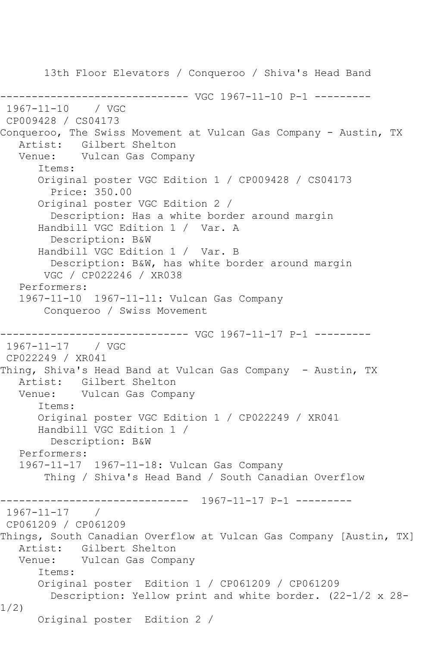13th Floor Elevators / Conqueroo / Shiva's Head Band ------------------------------ VGC 1967-11-10 P-1 --------- 1967-11-10 / VGC CP009428 / CS04173 Conqueroo, The Swiss Movement at Vulcan Gas Company - Austin, TX Artist: Gilbert Shelton Venue: Vulcan Gas Company Items: Original poster VGC Edition 1 / CP009428 / CS04173 Price: 350.00 Original poster VGC Edition 2 / Description: Has a white border around margin Handbill VGC Edition 1 / Var. A Description: B&W Handbill VGC Edition 1 / Var. B Description: B&W, has white border around margin VGC / CP022246 / XR038 Performers: 1967-11-10 1967-11-11: Vulcan Gas Company Conqueroo / Swiss Movement ------------------------------ VGC 1967-11-17 P-1 --------- 1967-11-17 / VGC CP022249 / XR041 Thing, Shiva's Head Band at Vulcan Gas Company - Austin, TX Artist: Gilbert Shelton Venue: Vulcan Gas Company Items: Original poster VGC Edition 1 / CP022249 / XR041 Handbill VGC Edition 1 / Description: B&W Performers: 1967-11-17 1967-11-18: Vulcan Gas Company Thing / Shiva's Head Band / South Canadian Overflow ------------------------------ 1967-11-17 P-1 --------- 1967-11-17 / CP061209 / CP061209 Things, South Canadian Overflow at Vulcan Gas Company [Austin, TX] Artist: Gilbert Shelton Venue: Vulcan Gas Company Items: Original poster Edition 1 / CP061209 / CP061209 Description: Yellow print and white border. (22-1/2 x 28- 1/2) Original poster Edition 2 /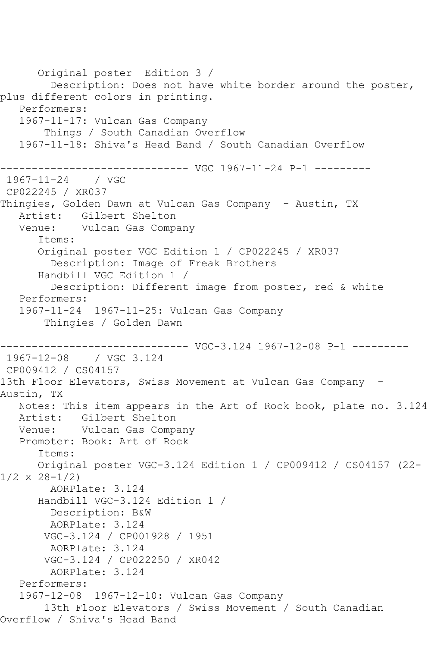Original poster Edition 3 / Description: Does not have white border around the poster, plus different colors in printing. Performers: 1967-11-17: Vulcan Gas Company Things / South Canadian Overflow 1967-11-18: Shiva's Head Band / South Canadian Overflow ------------------------------ VGC 1967-11-24 P-1 --------- 1967-11-24 / VGC CP022245 / XR037 Thingies, Golden Dawn at Vulcan Gas Company - Austin, TX Artist: Gilbert Shelton<br>Venue: Vulcan Gas Compa Vulcan Gas Company Items: Original poster VGC Edition 1 / CP022245 / XR037 Description: Image of Freak Brothers Handbill VGC Edition 1 / Description: Different image from poster, red & white Performers: 1967-11-24 1967-11-25: Vulcan Gas Company Thingies / Golden Dawn ------------------------------ VGC-3.124 1967-12-08 P-1 --------- 1967-12-08 / VGC 3.124 CP009412 / CS04157 13th Floor Elevators, Swiss Movement at Vulcan Gas Company -Austin, TX Notes: This item appears in the Art of Rock book, plate no. 3.124 Artist: Gilbert Shelton Venue: Vulcan Gas Company Promoter: Book: Art of Rock Items: Original poster VGC-3.124 Edition 1 / CP009412 / CS04157 (22- 1/2 x 28-1/2) AORPlate: 3.124 Handbill VGC-3.124 Edition 1 / Description: B&W AORPlate: 3.124 VGC-3.124 / CP001928 / 1951 AORPlate: 3.124 VGC-3.124 / CP022250 / XR042 AORPlate: 3.124 Performers: 1967-12-08 1967-12-10: Vulcan Gas Company 13th Floor Elevators / Swiss Movement / South Canadian Overflow / Shiva's Head Band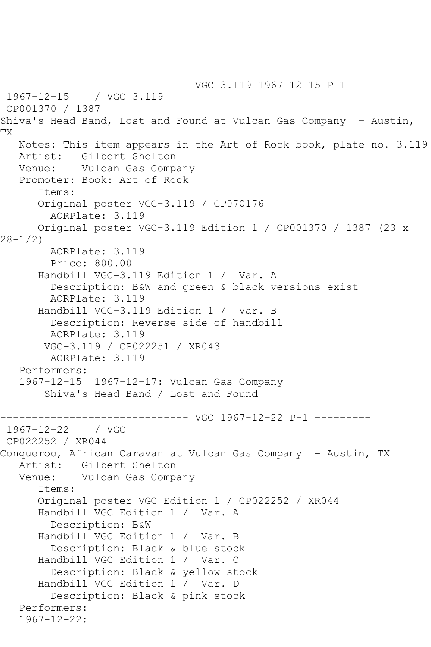------------------------------ VGC-3.119 1967-12-15 P-1 --------- 1967-12-15 / VGC 3.119 CP001370 / 1387 Shiva's Head Band, Lost and Found at Vulcan Gas Company - Austin, TX Notes: This item appears in the Art of Rock book, plate no. 3.119 Artist: Gilbert Shelton Venue: Vulcan Gas Company Promoter: Book: Art of Rock Items: Original poster VGC-3.119 / CP070176 AORPlate: 3.119 Original poster VGC-3.119 Edition 1 / CP001370 / 1387 (23 x 28-1/2) AORPlate: 3.119 Price: 800.00 Handbill VGC-3.119 Edition 1 / Var. A Description: B&W and green & black versions exist AORPlate: 3.119 Handbill VGC-3.119 Edition 1 / Var. B Description: Reverse side of handbill AORPlate: 3.119 VGC-3.119 / CP022251 / XR043 AORPlate: 3.119 Performers: 1967-12-15 1967-12-17: Vulcan Gas Company Shiva's Head Band / Lost and Found ------------------------------ VGC 1967-12-22 P-1 ---------  $1967 - 12 - 22$ CP022252 / XR044 Conqueroo, African Caravan at Vulcan Gas Company - Austin, TX Artist: Gilbert Shelton<br>Venue: Vulcan Gas Comp. Vulcan Gas Company Items: Original poster VGC Edition 1 / CP022252 / XR044 Handbill VGC Edition 1 / Var. A Description: B&W Handbill VGC Edition 1 / Var. B Description: Black & blue stock Handbill VGC Edition 1 / Var. C Description: Black & yellow stock Handbill VGC Edition 1 / Var. D Description: Black & pink stock Performers: 1967-12-22: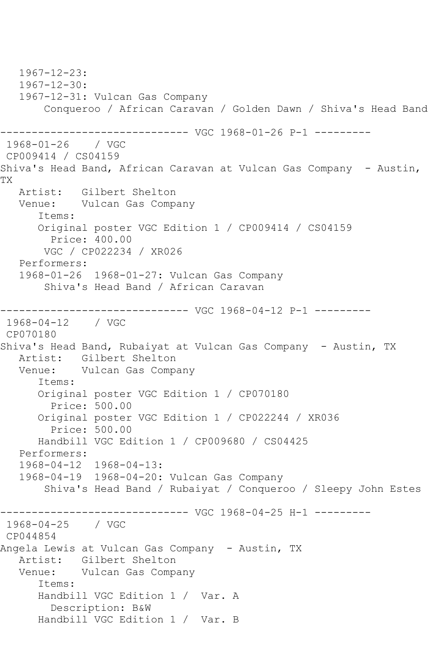1967-12-23: 1967-12-30: 1967-12-31: Vulcan Gas Company Conqueroo / African Caravan / Golden Dawn / Shiva's Head Band ------------------------------ VGC 1968-01-26 P-1 --------- 1968-01-26 / VGC CP009414 / CS04159 Shiva's Head Band, African Caravan at Vulcan Gas Company - Austin, TX Artist: Gilbert Shelton Venue: Vulcan Gas Company Items: Original poster VGC Edition 1 / CP009414 / CS04159 Price: 400.00 VGC / CP022234 / XR026 Performers: 1968-01-26 1968-01-27: Vulcan Gas Company Shiva's Head Band / African Caravan ------------------------------ VGC 1968-04-12 P-1 --------- 1968-04-12 / VGC CP070180 Shiva's Head Band, Rubaiyat at Vulcan Gas Company - Austin, TX<br>Artist: Gilbert Shelton Artist: Gilbert Shelton<br>Venue: Vulcan Gas Compa Vulcan Gas Company Items: Original poster VGC Edition 1 / CP070180 Price: 500.00 Original poster VGC Edition 1 / CP022244 / XR036 Price: 500.00 Handbill VGC Edition 1 / CP009680 / CS04425 Performers: 1968-04-12 1968-04-13: 1968-04-19 1968-04-20: Vulcan Gas Company Shiva's Head Band / Rubaiyat / Conqueroo / Sleepy John Estes ------------------------------ VGC 1968-04-25 H-1 --------- 1968-04-25 / VGC CP044854 Angela Lewis at Vulcan Gas Company - Austin, TX Artist: Gilbert Shelton Venue: Vulcan Gas Company Items: Handbill VGC Edition 1 / Var. A Description: B&W Handbill VGC Edition 1 / Var. B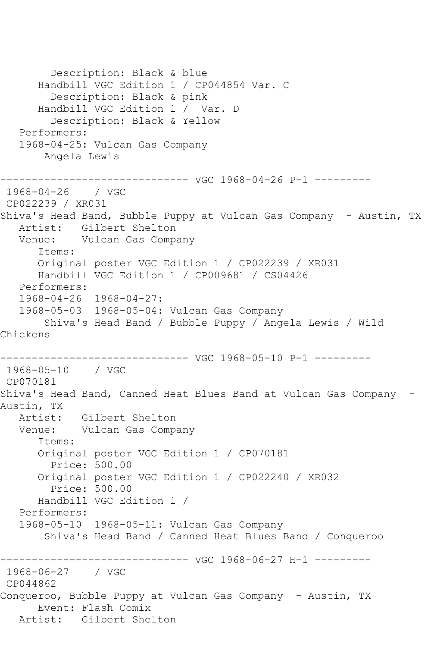Description: Black & blue Handbill VGC Edition 1 / CP044854 Var. C Description: Black & pink Handbill VGC Edition 1 / Var. D Description: Black & Yellow Performers: 1968-04-25: Vulcan Gas Company Angela Lewis ------------------------------ VGC 1968-04-26 P-1 --------- 1968-04-26 / VGC CP022239 / XR031 Shiva's Head Band, Bubble Puppy at Vulcan Gas Company - Austin, TX Artist: Gilbert Shelton Venue: Vulcan Gas Company Items: Original poster VGC Edition 1 / CP022239 / XR031 Handbill VGC Edition 1 / CP009681 / CS04426 Performers: 1968-04-26 1968-04-27: 1968-05-03 1968-05-04: Vulcan Gas Company Shiva's Head Band / Bubble Puppy / Angela Lewis / Wild Chickens ------------------------------ VGC 1968-05-10 P-1 --------- 1968-05-10 / VGC CP070181 Shiva's Head Band, Canned Heat Blues Band at Vulcan Gas Company - Austin, TX Artist: Gilbert Shelton Venue: Vulcan Gas Company Items: Original poster VGC Edition 1 / CP070181 Price: 500.00 Original poster VGC Edition 1 / CP022240 / XR032 Price: 500.00 Handbill VGC Edition 1 / Performers: 1968-05-10 1968-05-11: Vulcan Gas Company Shiva's Head Band / Canned Heat Blues Band / Conqueroo ------------------------------ VGC 1968-06-27 H-1 --------- 1968-06-27 / VGC CP044862 Conqueroo, Bubble Puppy at Vulcan Gas Company - Austin, TX Event: Flash Comix Artist: Gilbert Shelton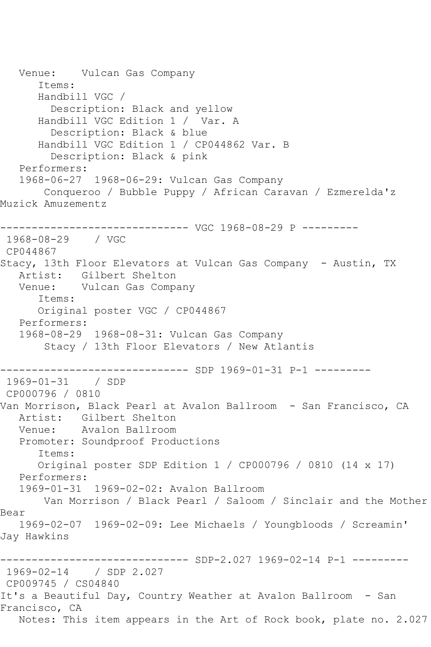Venue: Vulcan Gas Company Items: Handbill VGC / Description: Black and yellow Handbill VGC Edition 1 / Var. A Description: Black & blue Handbill VGC Edition 1 / CP044862 Var. B Description: Black & pink Performers: 1968-06-27 1968-06-29: Vulcan Gas Company Conqueroo / Bubble Puppy / African Caravan / Ezmerelda'z Muzick Amuzementz ------------------------------ VGC 1968-08-29 P --------- 1968-08-29 / VGC CP044867 Stacy, 13th Floor Elevators at Vulcan Gas Company - Austin, TX Artist: Gilbert Shelton Venue: Vulcan Gas Company Items: Original poster VGC / CP044867 Performers: 1968-08-29 1968-08-31: Vulcan Gas Company Stacy / 13th Floor Elevators / New Atlantis ------------------------------ SDP 1969-01-31 P-1 --------- 1969-01-31 / SDP CP000796 / 0810 Van Morrison, Black Pearl at Avalon Ballroom - San Francisco, CA Artist: Gilbert Shelton Venue: Avalon Ballroom Promoter: Soundproof Productions Items: Original poster SDP Edition 1 / CP000796 / 0810 (14 x 17) Performers: 1969-01-31 1969-02-02: Avalon Ballroom Van Morrison / Black Pearl / Saloom / Sinclair and the Mother Bear 1969-02-07 1969-02-09: Lee Michaels / Youngbloods / Screamin' Jay Hawkins ------------------------------ SDP-2.027 1969-02-14 P-1 --------- 1969-02-14 / SDP 2.027 CP009745 / CS04840 It's a Beautiful Day, Country Weather at Avalon Ballroom - San Francisco, CA Notes: This item appears in the Art of Rock book, plate no. 2.027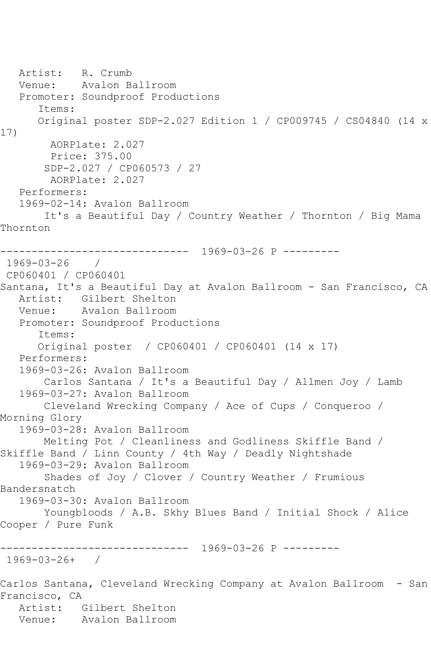```
 Artist: R. Crumb
   Venue: Avalon Ballroom
   Promoter: Soundproof Productions
       Items:
      Original poster SDP-2.027 Edition 1 / CP009745 / CS04840 (14 x 
17)
        AORPlate: 2.027 
        Price: 375.00
        SDP-2.027 / CP060573 / 27
        AORPlate: 2.027 
   Performers:
   1969-02-14: Avalon Ballroom
        It's a Beautiful Day / Country Weather / Thornton / Big Mama 
Thornton
------------------------------ 1969-03-26 P ---------
1969-03-26 / 
CP060401 / CP060401
Santana, It's a Beautiful Day at Avalon Ballroom - San Francisco, CA
   Artist: Gilbert Shelton
   Venue: Avalon Ballroom
   Promoter: Soundproof Productions
       Items:
       Original poster / CP060401 / CP060401 (14 x 17)
   Performers:
   1969-03-26: Avalon Ballroom
        Carlos Santana / It's a Beautiful Day / Allmen Joy / Lamb
   1969-03-27: Avalon Ballroom
       Cleveland Wrecking Company / Ace of Cups / Conqueroo / 
Morning Glory
   1969-03-28: Avalon Ballroom
       Melting Pot / Cleanliness and Godliness Skiffle Band / 
Skiffle Band / Linn County / 4th Way / Deadly Nightshade
   1969-03-29: Avalon Ballroom
        Shades of Joy / Clover / Country Weather / Frumious 
Bandersnatch
   1969-03-30: Avalon Ballroom
        Youngbloods / A.B. Skhy Blues Band / Initial Shock / Alice 
Cooper / Pure Funk
                 ------------------------------ 1969-03-26 P ---------
1969-03-26+ / 
Carlos Santana, Cleveland Wrecking Company at Avalon Ballroom - San 
Francisco, CA
   Artist: Gilbert Shelton
   Venue: Avalon Ballroom
```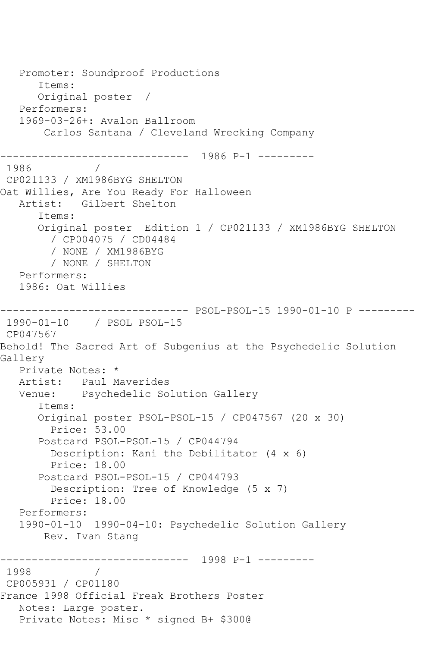```
 Promoter: Soundproof Productions
       Items:
       Original poster / 
   Performers:
   1969-03-26+: Avalon Ballroom
       Carlos Santana / Cleveland Wrecking Company
------------------------------ 1986 P-1 ---------
1986 / 
CP021133 / XM1986BYG SHELTON
Oat Willies, Are You Ready For Halloween
   Artist: Gilbert Shelton
       Items:
       Original poster Edition 1 / CP021133 / XM1986BYG SHELTON
         / CP004075 / CD04484
         / NONE / XM1986BYG
         / NONE / SHELTON
   Performers:
   1986: Oat Willies
------------------------------ PSOL-PSOL-15 1990-01-10 P ---------
1990-01-10 / PSOL PSOL-15
CP047567
Behold! The Sacred Art of Subgenius at the Psychedelic Solution 
Gallery
   Private Notes: *
   Artist: Paul Maverides
   Venue: Psychedelic Solution Gallery
       Items:
       Original poster PSOL-PSOL-15 / CP047567 (20 x 30)
        Price: 53.00
       Postcard PSOL-PSOL-15 / CP044794
         Description: Kani the Debilitator (4 x 6)
         Price: 18.00
       Postcard PSOL-PSOL-15 / CP044793
         Description: Tree of Knowledge (5 x 7)
         Price: 18.00
   Performers:
   1990-01-10 1990-04-10: Psychedelic Solution Gallery
       Rev. Ivan Stang
    ------------------------------ 1998 P-1 ---------
1998 / 
CP005931 / CP01180
France 1998 Official Freak Brothers Poster
   Notes: Large poster.
   Private Notes: Misc * signed B+ $300@
```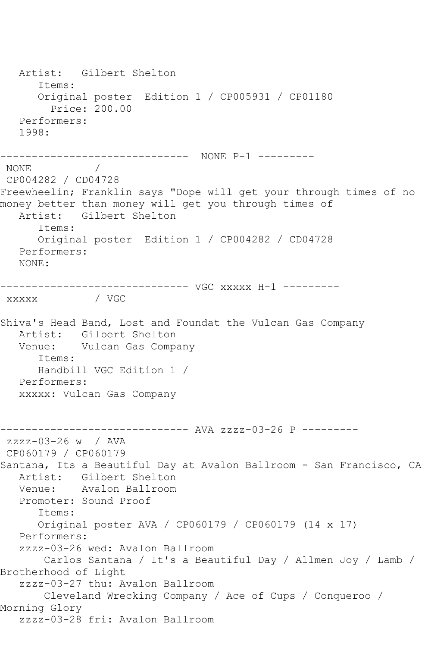Artist: Gilbert Shelton Items: Original poster Edition 1 / CP005931 / CP01180 Price: 200.00 Performers: 1998: ------------------------------ NONE P-1 --------- NONE / CP004282 / CD04728 Freewheelin; Franklin says "Dope will get your through times of no money better than money will get you through times of Artist: Gilbert Shelton Items: Original poster Edition 1 / CP004282 / CD04728 Performers: NONE: ------------------------------ VGC xxxxx H-1 -------- xxxxx / VGC Shiva's Head Band, Lost and Foundat the Vulcan Gas Company Artist: Gilbert Shelton Venue: Vulcan Gas Company Items: Handbill VGC Edition 1 / Performers: xxxxx: Vulcan Gas Company ------------------------------ AVA zzzz-03-26 P -------- zzzz-03-26 w / AVA CP060179 / CP060179 Santana, Its a Beautiful Day at Avalon Ballroom - San Francisco, CA Artist: Gilbert Shelton Venue: Avalon Ballroom Promoter: Sound Proof Items: Original poster AVA / CP060179 / CP060179 (14 x 17) Performers: zzzz-03-26 wed: Avalon Ballroom Carlos Santana / It's a Beautiful Day / Allmen Joy / Lamb / Brotherhood of Light zzzz-03-27 thu: Avalon Ballroom Cleveland Wrecking Company / Ace of Cups / Conqueroo / Morning Glory zzzz-03-28 fri: Avalon Ballroom